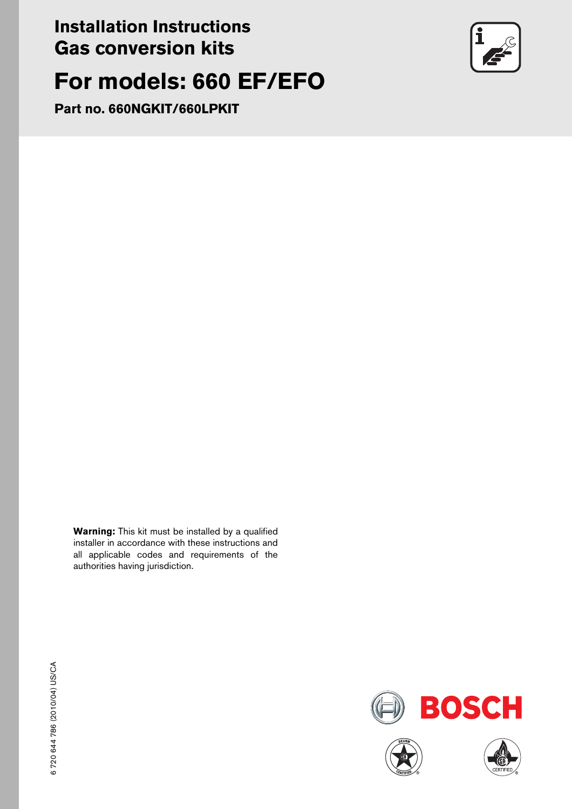## **Installation Instructions Gas conversion kits**

# **For models: 660 EF/EFO**

**Part no. 660NGKIT/660LPKIT**

**Warning:** This kit must be installed by a qualified installer in accordance with these instructions and all applicable codes and requirements of the authorities having jurisdiction.







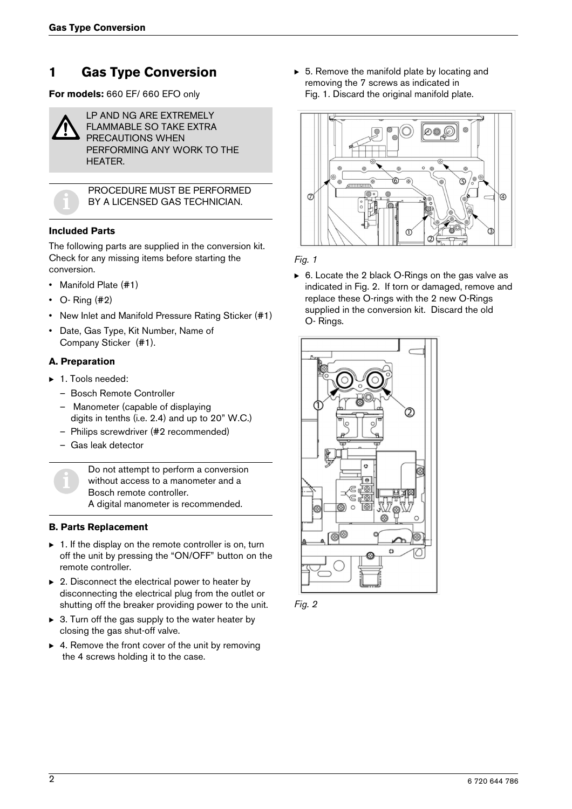## **1 Gas Type Conversion**

**For models:** 660 EF/ 660 EFO only



LP AND NG ARE EXTREMELY FLAMMABLE SO TAKE EXTRA PRECAUTIONS WHEN PERFORMING ANY WORK TO THE HEATER.



PROCEDURE MUST BE PERFORMED<br>BY A LICENSED GAS TECHNICIAN. BY A LICENSED GAS TECHNICIAN.

#### **Included Parts**

The following parts are supplied in the conversion kit. Check for any missing items before starting the conversion.

- Manifold Plate (#1)
- $\cdot$  O- Ring  $(#2)$
- New Inlet and Manifold Pressure Rating Sticker (#1)
- Date, Gas Type, Kit Number, Name of Company Sticker (#1).

#### **A. Preparation**

- ▶ 1. Tools needed:
	- Bosch Remote Controller
	- Manometer (capable of displaying digits in tenths (i.e. 2.4) and up to 20" W.C.)
	- Philips screwdriver (#2 recommended)
	- Gas leak detector

Do not attempt to perform a conversion<br>without access to a manometer and a<br>Bosch remote controller. without access to a manometer and a Bosch remote controller. A digital manometer is recommended.

#### **B. Parts Replacement**

- $\triangleright$  1. If the display on the remote controller is on, turn off the unit by pressing the "ON/OFF" button on the remote controller.
- $\triangleright$  2. Disconnect the electrical power to heater by disconnecting the electrical plug from the outlet or shutting off the breaker providing power to the unit.
- $\triangleright$  3. Turn off the gas supply to the water heater by closing the gas shut-off valve.
- $\triangleright$  4. Remove the front cover of the unit by removing the 4 screws holding it to the case.

 $\triangleright$  5. Remove the manifold plate by locating and removing the 7 screws as indicated in Fig. 1. Discard the original manifold plate.



*Fig. 1*

 $\triangleright$  6. Locate the 2 black O-Rings on the gas valve as indicated in Fig. 2. If torn or damaged, remove and replace these O-rings with the 2 new O-Rings supplied in the conversion kit. Discard the old O- Rings.



*Fig. 2*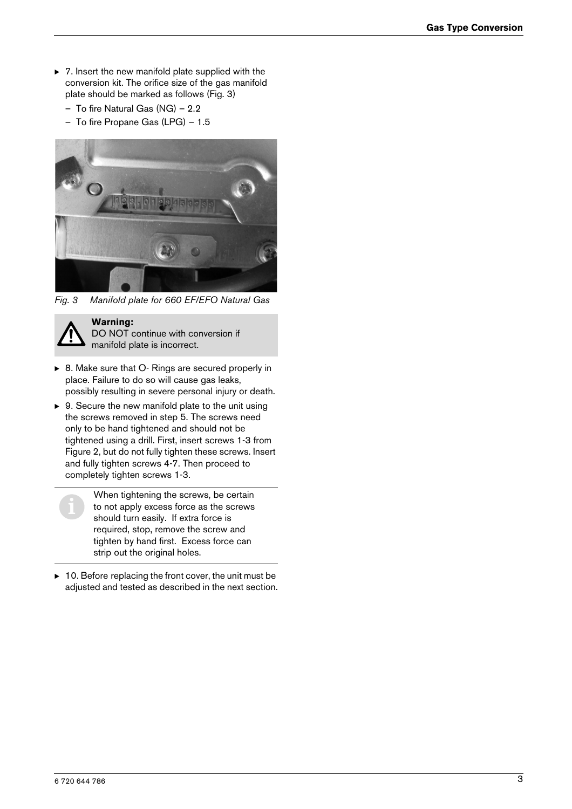- $\triangleright$  7. Insert the new manifold plate supplied with the conversion kit. The orifice size of the gas manifold plate should be marked as follows (Fig. 3)
	- To fire Natural Gas (NG) 2.2
	- To fire Propane Gas (LPG) 1.5



*Fig. 3 Manifold plate for 660 EF/EFO Natural Gas*



**Warning:**  DO NOT continue with conversion if

manifold plate is incorrect.

- ▶ 8. Make sure that O- Rings are secured properly in place. Failure to do so will cause gas leaks, possibly resulting in severe personal injury or death.
- $\triangleright$  9. Secure the new manifold plate to the unit using the screws removed in step 5. The screws need only to be hand tightened and should not be tightened using a drill. First, insert screws 1-3 from Figure 2, but do not fully tighten these screws. Insert and fully tighten screws 4-7. Then proceed to completely tighten screws 1-3.

When tightening the screws, be certain<br>to not apply excess force as the screws<br>should turn easily. If extra force is to not apply excess force as the screws should turn easily. If extra force is required, stop, remove the screw and tighten by hand first. Excess force can strip out the original holes.

 $\triangleright$  10. Before replacing the front cover, the unit must be adjusted and tested as described in the next section.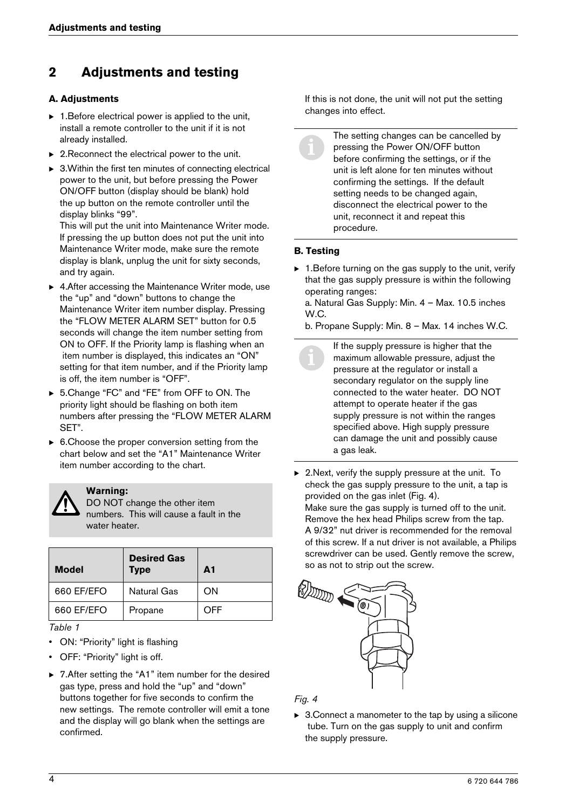## **2 Adjustments and testing**

#### **A. Adjustments**

- $\triangleright$  1. Before electrical power is applied to the unit, install a remote controller to the unit if it is not already installed.
- $\triangleright$  2. Reconnect the electrical power to the unit.
- $\triangleright$  3. Within the first ten minutes of connecting electrical power to the unit, but before pressing the Power ON/OFF button (display should be blank) hold the up button on the remote controller until the display blinks "99".

This will put the unit into Maintenance Writer mode. If pressing the up button does not put the unit into Maintenance Writer mode, make sure the remote display is blank, unplug the unit for sixty seconds, and try again.

- $\triangleright$  4. After accessing the Maintenance Writer mode, use the "up" and "down" buttons to change the Maintenance Writer item number display. Pressing the "FLOW METER ALARM SET" button for 0.5 seconds will change the item number setting from ON to OFF. If the Priority lamp is flashing when an item number is displayed, this indicates an "ON" setting for that item number, and if the Priority lamp is off, the item number is "OFF".
- ▶ 5.Change "FC" and "FE" from OFF to ON. The priority light should be flashing on both item numbers after pressing the "FLOW METER ALARM SET".
- $\triangleright$  6. Choose the proper conversion setting from the chart below and set the "A1" Maintenance Writer item number according to the chart.



#### **Warning:**

DO NOT change the other item numbers. This will cause a fault in the water heater.

| <b>Model</b> | <b>Desired Gas</b><br><b>Type</b> | $\mathbf{A}$ 1 |
|--------------|-----------------------------------|----------------|
| 660 EF/EFO   | Natural Gas                       | OΝ             |
| 660 EF/EFO   | Propane                           | OFF            |

*Table 1*

- ON: "Priority" light is flashing
- OFF: "Priority" light is off.
- $\triangleright$  7. After setting the "A1" item number for the desired gas type, press and hold the "up" and "down" buttons together for five seconds to confirm the new settings. The remote controller will emit a tone and the display will go blank when the settings are confirmed.

If this is not done, the unit will not put the setting changes into effect.

The setting changes can be cancelled by pressing the Power ON/OFF button before confirming the settings, or if the unit is left alone for ten minutes without confirming the settings. If the default setting needs to be changed again, disconnect the electrical power to the unit, reconnect it and repeat this procedure.

#### **B. Testing**

 $\triangleright$  1. Before turning on the gas supply to the unit, verify that the gas supply pressure is within the following operating ranges:

a. Natural Gas Supply: Min. 4 – Max. 10.5 inches W.C.

b. Propane Supply: Min. 8 – Max. 14 inches W.C.

If the supply pressure is higher that the<br>maximum allowable pressure, adjust the<br>pressure at the requilator or install a maximum allowable pressure, adjust the pressure at the regulator or install a secondary regulator on the supply line connected to the water heater. DO NOT attempt to operate heater if the gas supply pressure is not within the ranges specified above. High supply pressure can damage the unit and possibly cause a gas leak.

 $\triangleright$  2. Next, verify the supply pressure at the unit. To check the gas supply pressure to the unit, a tap is provided on the gas inlet (Fig. 4). Make sure the gas supply is turned off to the unit. Remove the hex head Philips screw from the tap. A 9/32" nut driver is recommended for the removal of this screw. If a nut driver is not available, a Philips screwdriver can be used. Gently remove the screw, so as not to strip out the screw.



#### *Fig. 4*

 $\triangleright$  3. Connect a manometer to the tap by using a silicone tube. Turn on the gas supply to unit and confirm the supply pressure.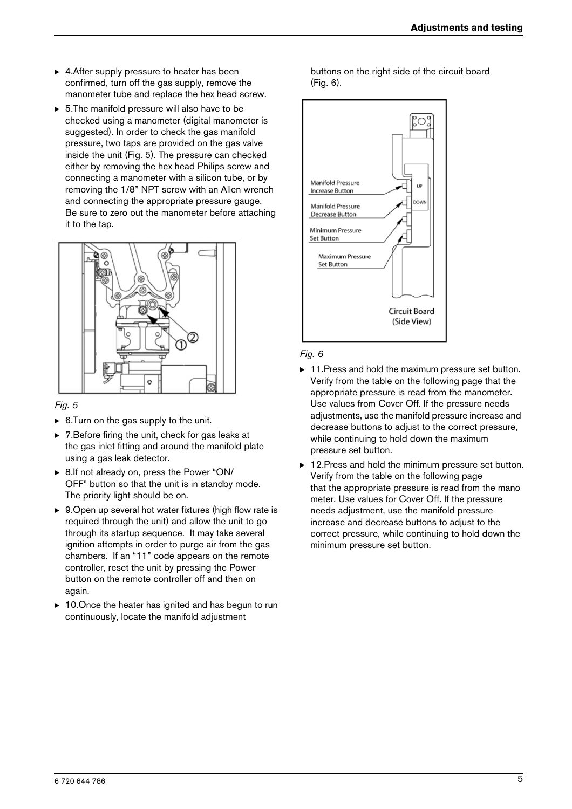- $\blacktriangleright$  4. After supply pressure to heater has been confirmed, turn off the gas supply, remove the manometer tube and replace the hex head screw.
- $\triangleright$  5. The manifold pressure will also have to be checked using a manometer (digital manometer is suggested). In order to check the gas manifold pressure, two taps are provided on the gas valve inside the unit (Fig. 5). The pressure can checked either by removing the hex head Philips screw and connecting a manometer with a silicon tube, or by removing the 1/8" NPT screw with an Allen wrench and connecting the appropriate pressure gauge. Be sure to zero out the manometer before attaching it to the tap.



#### *Fig. 5*

- $\triangleright$  6. Turn on the gas supply to the unit.
- $\triangleright$  7. Before firing the unit, check for gas leaks at the gas inlet fitting and around the manifold plate using a gas leak detector.
- ▶ 8.If not already on, press the Power "ON/ OFF" button so that the unit is in standby mode. The priority light should be on.
- $\triangleright$  9. Open up several hot water fixtures (high flow rate is required through the unit) and allow the unit to go through its startup sequence. It may take several ignition attempts in order to purge air from the gas chambers. If an "11" code appears on the remote controller, reset the unit by pressing the Power button on the remote controller off and then on again.
- $\blacktriangleright$  10. Once the heater has ignited and has begun to run continuously, locate the manifold adjustment

buttons on the right side of the circuit board (Fig. 6).



#### *Fig. 6*

- $\triangleright$  11. Press and hold the maximum pressure set button. Verify from the table on the following page that the appropriate pressure is read from the manometer. Use values from Cover Off. If the pressure needs adjustments, use the manifold pressure increase and decrease buttons to adjust to the correct pressure, while continuing to hold down the maximum pressure set button.
- 12. Press and hold the minimum pressure set button. Verify from the table on the following page that the appropriate pressure is read from the mano meter. Use values for Cover Off. If the pressure needs adjustment, use the manifold pressure increase and decrease buttons to adjust to the correct pressure, while continuing to hold down the minimum pressure set button.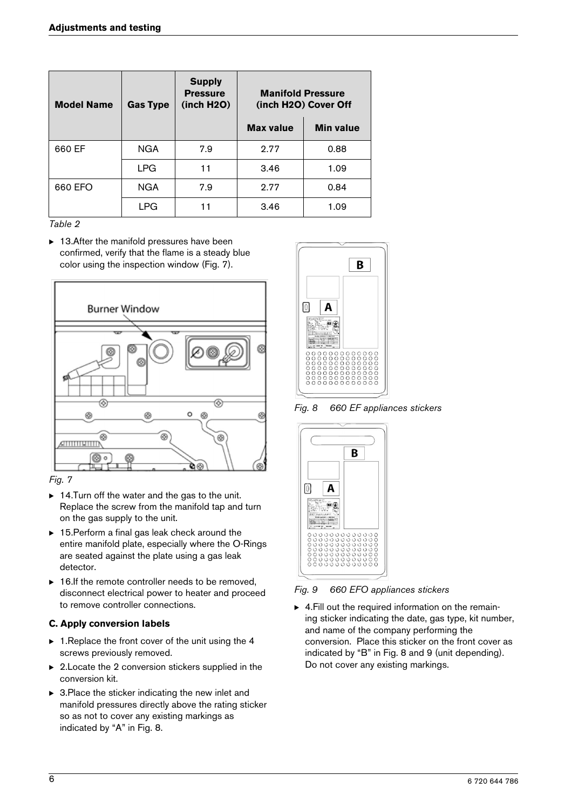| <b>Model Name</b> | <b>Gas Type</b> | <b>Supply</b><br><b>Pressure</b><br>(inch H2O) | <b>Manifold Pressure</b><br>(inch H2O) Cover Off |                  |
|-------------------|-----------------|------------------------------------------------|--------------------------------------------------|------------------|
|                   |                 |                                                | <b>Max value</b>                                 | <b>Min value</b> |
| 660 EF            | <b>NGA</b>      | 7.9                                            | 2.77                                             | 0.88             |
|                   | <b>LPG</b>      | 11                                             | 3.46                                             | 1.09             |
| 660 EFO           | <b>NGA</b>      | 7.9                                            | 2.77                                             | 0.84             |
|                   | <b>LPG</b>      | 11                                             | 3.46                                             | 1.09             |

*Table 2*

 $\blacktriangleright$  13. After the manifold pressures have been confirmed, verify that the flame is a steady blue color using the inspection window (Fig. 7).



*Fig. 7*

- $\triangleright$  14. Turn off the water and the gas to the unit. Replace the screw from the manifold tap and turn on the gas supply to the unit.
- $\triangleright$  15. Perform a final gas leak check around the entire manifold plate, especially where the O-Rings are seated against the plate using a gas leak detector.
- $\triangleright$  16.If the remote controller needs to be removed, disconnect electrical power to heater and proceed to remove controller connections.

#### **C. Apply conversion labels**

- $\triangleright$  1. Replace the front cover of the unit using the 4 screws previously removed.
- $\triangleright$  2. Locate the 2 conversion stickers supplied in the conversion kit.
- $\triangleright$  3. Place the sticker indicating the new inlet and manifold pressures directly above the rating sticker so as not to cover any existing markings as indicated by "A" in Fig. 8.



*Fig. 8 660 EF appliances stickers*



*Fig. 9 660 EFO appliances stickers*

 $\blacktriangleright$  4. Fill out the required information on the remaining sticker indicating the date, gas type, kit number, and name of the company performing the conversion. Place this sticker on the front cover as indicated by "B" in Fig. 8 and 9 (unit depending). Do not cover any existing markings.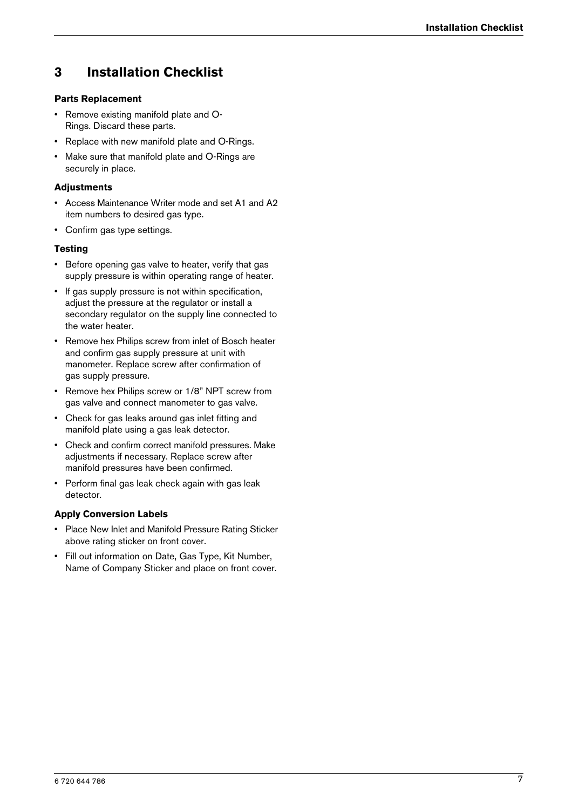## **3 Installation Checklist**

#### **Parts Replacement**

- Remove existing manifold plate and O-Rings. Discard these parts.
- Replace with new manifold plate and O-Rings.
- Make sure that manifold plate and O-Rings are securely in place.

#### **Adjustments**

- Access Maintenance Writer mode and set A1 and A2 item numbers to desired gas type.
- Confirm gas type settings.

#### **Testing**

- Before opening gas valve to heater, verify that gas supply pressure is within operating range of heater.
- If gas supply pressure is not within specification, adjust the pressure at the regulator or install a secondary regulator on the supply line connected to the water heater.
- Remove hex Philips screw from inlet of Bosch heater and confirm gas supply pressure at unit with manometer. Replace screw after confirmation of gas supply pressure.
- Remove hex Philips screw or 1/8" NPT screw from gas valve and connect manometer to gas valve.
- Check for gas leaks around gas inlet fitting and manifold plate using a gas leak detector.
- Check and confirm correct manifold pressures. Make adjustments if necessary. Replace screw after manifold pressures have been confirmed.
- Perform final gas leak check again with gas leak detector.

#### **Apply Conversion Labels**

- Place New Inlet and Manifold Pressure Rating Sticker above rating sticker on front cover.
- Fill out information on Date, Gas Type, Kit Number, Name of Company Sticker and place on front cover.